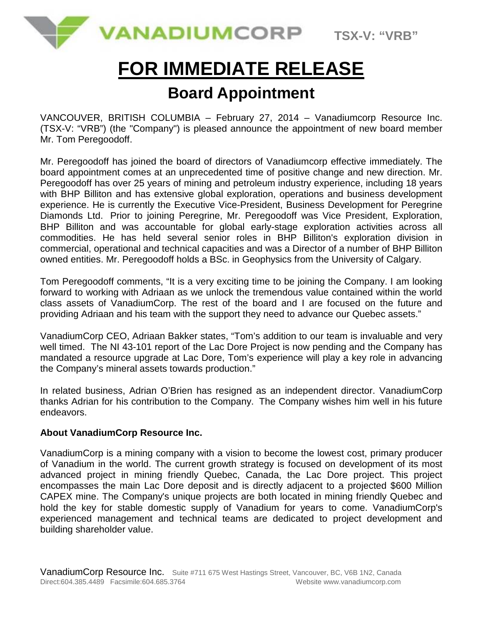

# **FOR IMMEDIATE RELEASE**

## **Board Appointment**

VANCOUVER, BRITISH COLUMBIA – February 27, 2014 – Vanadiumcorp Resource Inc. (TSX-V: "VRB") (the "Company") is pleased announce the appointment of new board member Mr. Tom Peregoodoff.

Mr. Peregoodoff has joined the board of directors of Vanadiumcorp effective immediately. The board appointment comes at an unprecedented time of positive change and new direction. Mr. Peregoodoff has over 25 years of mining and petroleum industry experience, including 18 years with BHP Billiton and has extensive global exploration, operations and business development experience. He is currently the Executive Vice-President, Business Development for Peregrine Diamonds Ltd. Prior to joining Peregrine, Mr. Peregoodoff was Vice President, Exploration, BHP Billiton and was accountable for global early-stage exploration activities across all commodities. He has held several senior roles in BHP Billiton's exploration division in commercial, operational and technical capacities and was a Director of a number of BHP Billiton owned entities. Mr. Peregoodoff holds a BSc. in Geophysics from the University of Calgary.

Tom Peregoodoff comments, "It is a very exciting time to be joining the Company. I am looking forward to working with Adriaan as we unlock the tremendous value contained within the world class assets of VanadiumCorp. The rest of the board and I are focused on the future and providing Adriaan and his team with the support they need to advance our Quebec assets."

VanadiumCorp CEO, Adriaan Bakker states, "Tom's addition to our team is invaluable and very well timed. The NI 43-101 report of the Lac Dore Project is now pending and the Company has mandated a resource upgrade at Lac Dore, Tom's experience will play a key role in advancing the Company's mineral assets towards production."

In related business, Adrian O'Brien has resigned as an independent director. VanadiumCorp thanks Adrian for his contribution to the Company. The Company wishes him well in his future endeavors.

### **About VanadiumCorp Resource Inc.**

VanadiumCorp is a mining company with a vision to become the lowest cost, primary producer of Vanadium in the world. The current growth strategy is focused on development of its most advanced project in mining friendly Quebec, Canada, the Lac Dore project. This project encompasses the main Lac Dore deposit and is directly adjacent to a projected \$600 Million CAPEX mine. The Company's unique projects are both located in mining friendly Quebec and hold the key for stable domestic supply of Vanadium for years to come. VanadiumCorp's experienced management and technical teams are dedicated to project development and building shareholder value.